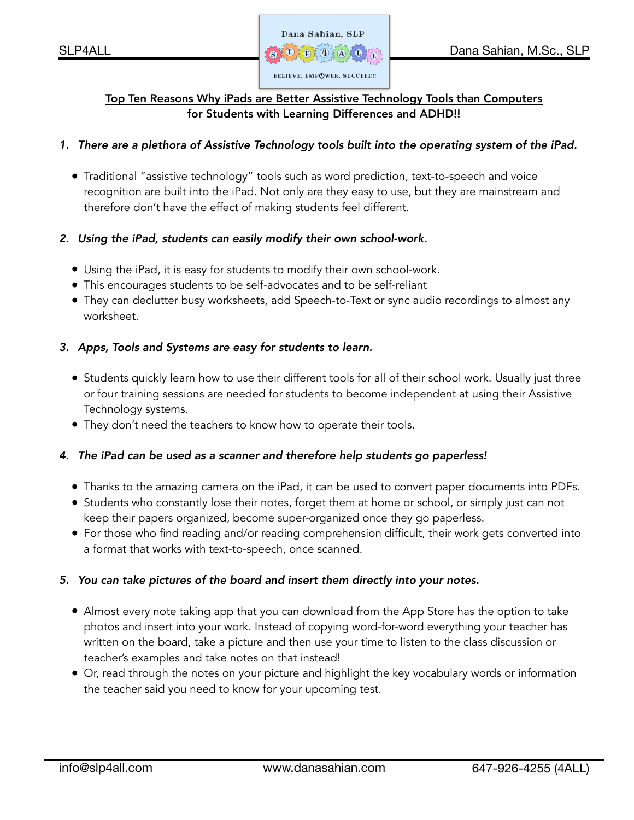

# Top Ten Reasons Why iPads are Better Assistive Technology Tools than Computers for Students with Learning Differences and ADHD!!

# *1. There are a plethora of Assistive Technology tools built into the operating system of the iPad.*

• Traditional "assistive technology" tools such as word prediction, text-to-speech and voice recognition are built into the iPad. Not only are they easy to use, but they are mainstream and therefore don't have the effect of making students feel different.

# *2. Using the iPad, students can easily modify their own school-work.*

- Using the iPad, it is easy for students to modify their own school-work.
- This encourages students to be self-advocates and to be self-reliant
- They can declutter busy worksheets, add Speech-to-Text or sync audio recordings to almost any worksheet.

# *3. Apps, Tools and Systems are easy for students to learn.*

- Students quickly learn how to use their different tools for all of their school work. Usually just three or four training sessions are needed for students to become independent at using their Assistive Technology systems.
- They don't need the teachers to know how to operate their tools.

# *4. The iPad can be used as a scanner and therefore help students go paperless!*

- Thanks to the amazing camera on the iPad, it can be used to convert paper documents into PDFs.
- Students who constantly lose their notes, forget them at home or school, or simply just can not keep their papers organized, become super-organized once they go paperless.
- For those who find reading and/or reading comprehension difficult, their work gets converted into a format that works with text-to-speech, once scanned.

# *5. You can take pictures of the board and insert them directly into your notes.*

- Almost every note taking app that you can download from the App Store has the option to take photos and insert into your work. Instead of copying word-for-word everything your teacher has written on the board, take a picture and then use your time to listen to the class discussion or teacher's examples and take notes on that instead!
- Or, read through the notes on your picture and highlight the key vocabulary words or information the teacher said you need to know for your upcoming test.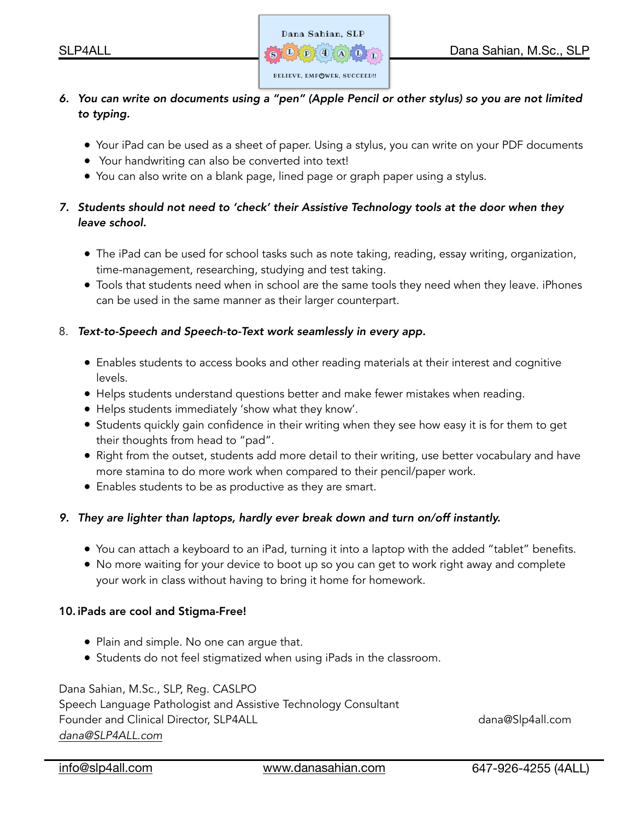

- *6. You can write on documents using a "pen" (Apple Pencil or other stylus) so you are not limited to typing.* 
	- Your iPad can be used as a sheet of paper. Using a stylus, you can write on your PDF documents
	- Your handwriting can also be converted into text!
	- You can also write on a blank page, lined page or graph paper using a stylus.

# *7. Students should not need to 'check' their Assistive Technology tools at the door when they leave school.*

- The iPad can be used for school tasks such as note taking, reading, essay writing, organization, time-management, researching, studying and test taking.
- Tools that students need when in school are the same tools they need when they leave. iPhones can be used in the same manner as their larger counterpart.

# 8. *Text-to-Speech and Speech-to-Text work seamlessly in every app.*

- Enables students to access books and other reading materials at their interest and cognitive levels.
- Helps students understand questions better and make fewer mistakes when reading.
- Helps students immediately 'show what they know'.
- Students quickly gain confidence in their writing when they see how easy it is for them to get their thoughts from head to "pad".
- Right from the outset, students add more detail to their writing, use better vocabulary and have more stamina to do more work when compared to their pencil/paper work.
- Enables students to be as productive as they are smart.

# *9. They are lighter than laptops, hardly ever break down and turn on/off instantly.*

- You can attach a keyboard to an iPad, turning it into a laptop with the added "tablet" benefits.
- No more waiting for your device to boot up so you can get to work right away and complete your work in class without having to bring it home for homework.

# 10. iPads are cool and Stigma-Free!

- Plain and simple. No one can argue that.
- Students do not feel stigmatized when using iPads in the classroom.

Dana Sahian, M.Sc., SLP, Reg. CASLPO Speech Language Pathologist and Assistive Technology Consultant Founder and Clinical Director, SLP4ALL dana@Slp4all.com *[dana@SLP4ALL.com](mailto:dana@SLP4ALL.com)*